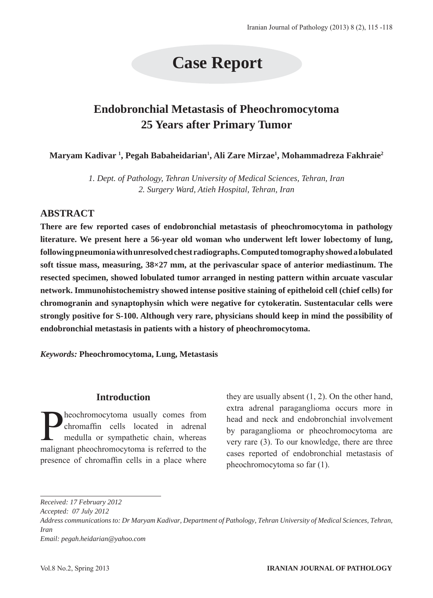# **Case Report**

## **Endobronchial Metastasis of Pheochromocytoma 25 Years after Primary Tumor**

**Maryam Kadivar 1 , Pegah Babaheidarian1 , Ali Zare Mirzae1 , Mohammadreza Fakhraie2**

*1. Dept. of Pathology, Tehran University of Medical Sciences, Tehran, Iran 2. Surgery Ward, Atieh Hospital, Tehran, Iran*

### **ABSTRACT**

**There are few reported cases of endobronchial metastasis of pheochromocytoma in pathology literature. We present here a 56-year old woman who underwent left lower lobectomy of lung, following pneumonia with unresolved chest radiographs. Computed tomography showed a lobulated soft tissue mass, measuring, 38×27 mm, at the perivascular space of anterior mediastinum. The resected specimen, showed lobulated tumor arranged in nesting pattern within arcuate vascular network. Immunohistochemistry showed intense positive staining of epitheloid cell (chief cells) for chromogranin and synaptophysin which were negative for cytokeratin. Sustentacular cells were strongly positive for S-100. Although very rare, physicians should keep in mind the possibility of endobronchial metastasis in patients with a history of pheochromocytoma.** 

*Keywords:* **Pheochromocytoma, Lung, Metastasis**

#### **Introduction**

heochromocytoma usually comes from chromaffin cells located in adrenal medulla or sympathetic chain, whereas malignant pheochromocytoma is referred to the presence of chromaffin cells in a place where they are usually absent (1, 2). On the other hand, extra adrenal paraganglioma occurs more in head and neck and endobronchial involvement by paraganglioma or pheochromocytoma are very rare (3). To our knowledge, there are three cases reported of endobronchial metastasis of pheochromocytoma so far (1).

*Received: 17 February 2012 Accepted: 07 July 2012 Address communications to: Dr Maryam Kadivar, Department of Pathology, Tehran University of Medical Sciences, Tehran, Iran Email: pegah.heidarian@yahoo.com*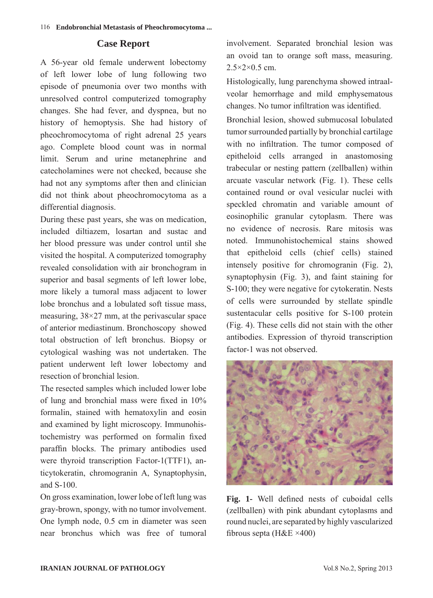#### **Case Report**

A 56-year old female underwent lobectomy of left lower lobe of lung following two episode of pneumonia over two months with unresolved control computerized tomography changes. She had fever, and dyspnea, but no history of hemoptysis. She had history of pheochromocytoma of right adrenal 25 years ago. Complete blood count was in normal limit. Serum and urine metanephrine and catecholamines were not checked, because she had not any symptoms after then and clinician did not think about pheochromocytoma as a differential diagnosis.

During these past years, she was on medication, included diltiazem, losartan and sustac and her blood pressure was under control until she visited the hospital. A computerized tomography revealed consolidation with air bronchogram in superior and basal segments of left lower lobe, more likely a tumoral mass adjacent to lower lobe bronchus and a lobulated soft tissue mass, measuring, 38×27 mm, at the perivascular space of anterior mediastinum. Bronchoscopy showed total obstruction of left bronchus. Biopsy or cytological washing was not undertaken. The patient underwent left lower lobectomy and resection of bronchial lesion.

The resected samples which included lower lobe of lung and bronchial mass were fixed in 10% formalin, stained with hematoxylin and eosin and examined by light microscopy. Immunohistochemistry was performed on formalin fixed paraffin blocks. The primary antibodies used were thyroid transcription Factor-1(TTF1), anticytokeratin, chromogranin A, Synaptophysin, and S-100.

On gross examination, lower lobe of left lung was gray-brown, spongy, with no tumor involvement. One lymph node, 0.5 cm in diameter was seen near bronchus which was free of tumoral involvement. Separated bronchial lesion was an ovoid tan to orange soft mass, measuring.  $2.5\times2\times0.5$  cm.

Histologically, lung parenchyma showed intraalveolar hemorrhage and mild emphysematous changes. No tumor infiltration was identified.

Bronchial lesion, showed submucosal lobulated tumor surrounded partially by bronchial cartilage with no infiltration. The tumor composed of epitheloid cells arranged in anastomosing trabecular or nesting pattern (zellballen) within arcuate vascular network (Fig. 1). These cells contained round or oval vesicular nuclei with speckled chromatin and variable amount of eosinophilic granular cytoplasm. There was no evidence of necrosis. Rare mitosis was noted. Immunohistochemical stains showed that epitheloid cells (chief cells) stained intensely positive for chromogranin (Fig. 2), synaptophysin (Fig. 3), and faint staining for S-100; they were negative for cytokeratin. Nests of cells were surrounded by stellate spindle sustentacular cells positive for S-100 protein (Fig. 4). These cells did not stain with the other antibodies. Expression of thyroid transcription factor-1 was not observed.



**Fig. 1-** Well defined nests of cuboidal cells (zellballen) with pink abundant cytoplasms and round nuclei, are separated by highly vascularized fibrous septa ( $H&E \times 400$ )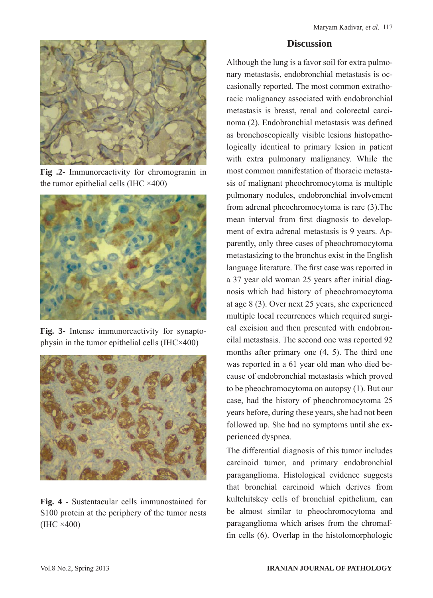

**Fig .2-** Immunoreactivity for chromogranin in the tumor epithelial cells (IHC  $\times$ 400)



**Fig. 3-** Intense immunoreactivity for synaptophysin in the tumor epithelial cells (IHC×400)



**Fig. 4 -** Sustentacular cells immunostained for S100 protein at the periphery of the tumor nests (IHC ×400)

#### **Discussion**

Although the lung is a favor soil for extra pulmonary metastasis, endobronchial metastasis is occasionally reported. The most common extrathoracic malignancy associated with endobronchial metastasis is breast, renal and colorectal carcinoma (2). Endobronchial metastasis was defined as bronchoscopically visible lesions histopathologically identical to primary lesion in patient with extra pulmonary malignancy. While the most common manifestation of thoracic metastasis of malignant pheochromocytoma is multiple pulmonary nodules, endobronchial involvement from adrenal pheochromocytoma is rare (3).The mean interval from first diagnosis to development of extra adrenal metastasis is 9 years. Apparently, only three cases of pheochromocytoma metastasizing to the bronchus exist in the English language literature. The first case was reported in a 37 year old woman 25 years after initial diagnosis which had history of pheochromocytoma at age 8 (3). Over next 25 years, she experienced multiple local recurrences which required surgical excision and then presented with endobroncilal metastasis. The second one was reported 92 months after primary one (4, 5). The third one was reported in a 61 year old man who died because of endobronchial metastasis which proved to be pheochromocytoma on autopsy (1). But our case, had the history of pheochromocytoma 25 years before, during these years, she had not been followed up. She had no symptoms until she experienced dyspnea.

The differential diagnosis of this tumor includes carcinoid tumor, and primary endobronchial paraganglioma. Histological evidence suggests that bronchial carcinoid which derives from kultchitskey cells of bronchial epithelium, can be almost similar to pheochromocytoma and paraganglioma which arises from the chromaffin cells (6). Overlap in the histolomorphologic